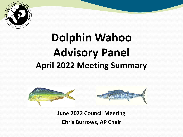

# **Dolphin Wahoo Advisory Panel April 2022 Meeting Summary**



**June 2022 Council Meeting Chris Burrows, AP Chair**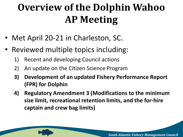## **Overview of the Dolphin Wahoo AP Meeting**

- Met April 20-21 in Charleston, SC.
- Reviewed multiple topics including:
	- 1) Recent and developing Council actions
	- 2) An update on the Citizen Science Program
	- **3) Development of an updated Fishery Performance Report (FPR) for Dolphin**
	- **4) Regulatory Amendment 3 (Modifications to the minimum size limit, recreational retention limits, and the for-hire captain and crew bag limits)**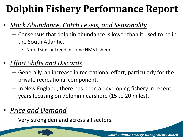## **Dolphin Fishery Performance Report**

- *Stock Abundance, Catch Levels, and Seasonality*
	- Consensus that dolphin abundance is lower than it used to be in the South Atlantic.
		- Noted similar trend in some HMS fisheries.
- *Effort Shifts and Discards*
	- Generally, an increase in recreational effort, particularly for the private recreational component.
	- In New England, there has been a developing fishery in recent years focusing on dolphin nearshore (15 to 20 miles).
- *Price and Demand*
	- Very strong demand across all sectors.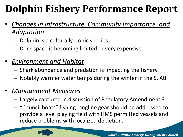## **Dolphin Fishery Performance Report**

- *Changes in Infrastructure, Community Importance, and Adaptation*
	- Dolphin is a culturally iconic species.
	- Dock space is becoming limited or very expensive.
- *Environment and Habitat*
	- Shark abundance and predation is impacting the fishery.
	- Notably warmer water temps during the winter in the S. Atl.
- *Management Measures* 
	- Largely captured in discussion of Regulatory Amendment 3.
	- "Council boats" fishing longline gear should be addressed to provide a level playing field with HMS permitted vessels and reduce problems with localized depletion.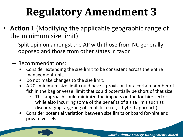- **Action 1** (Modifying the applicable geographic range of the minimum size limit)
	- Split opinion amongst the AP with those from NC generally opposed and those from other states in favor.
	- Recommendations:
		- Consider extending the size limit to be consistent across the entire management unit.
		- Do not make changes to the size limit.
		- A 20" minimum size limit could have a provision for a certain number of fish in the bag or vessel limit that could potentially be short of that size.
			- $\circ$  This approach could minimize the impacts on the for-hire sector while also incurring some of the benefits of a size limit such as discouraging targeting of small fish (i.e., a hybrid approach).
		- Consider potential variation between size limits onboard for-hire and private vessels.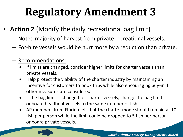- **Action 2** (Modify the daily recreational bag limit)
	- Noted majority of harvest from private recreational vessels.
	- For-hire vessels would be hurt more by a reduction than private.
	- Recommendations:
		- If limits are changed, consider higher limits for charter vessels than private vessels.
		- Help protect the viability of the charter industry by maintaining an incentive for customers to book trips while also encouraging buy-in if other measures are considered.
		- If the bag limit is changed for charter vessels, change the bag limit onboard headboat vessels to the same number of fish.
		- AP members from Florida felt that the charter mode should remain at 10 fish per person while the limit could be dropped to 5 fish per person onboard private vessels.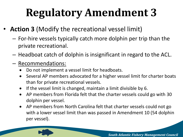- **Action 3** (Modify the recreational vessel limit)
	- For-hire vessels typically catch more dolphin per trip than the private recreational.
	- Headboat catch of dolphin is insignificant in regard to the ACL.
	- Recommendations:
		- Do not implement a vessel limit for headboats.
		- Several AP members advocated for a higher vessel limit for charter boats than for private recreational vessels.
		- If the vessel limit is changed, maintain a limit divisible by 6.
		- AP members from Florida felt that the charter vessels could go with 30 dolphin per vessel.
		- AP members from North Carolina felt that charter vessels could not go with a lower vessel limit than was passed in Amendment 10 (54 dolphin per vessel).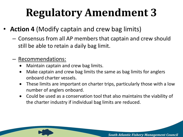- **Action 4** (Modify captain and crew bag limits)
	- Consensus from all AP members that captain and crew should still be able to retain a daily bag limit.

#### – Recommendations:

- Maintain captain and crew bag limits.
- Make captain and crew bag limits the same as bag limits for anglers onboard charter vessels.
- These limits are important on charter trips, particularly those with a low number of anglers onboard.
- Could be used as a conservation tool that also maintains the viability of the charter industry if individual bag limits are reduced.